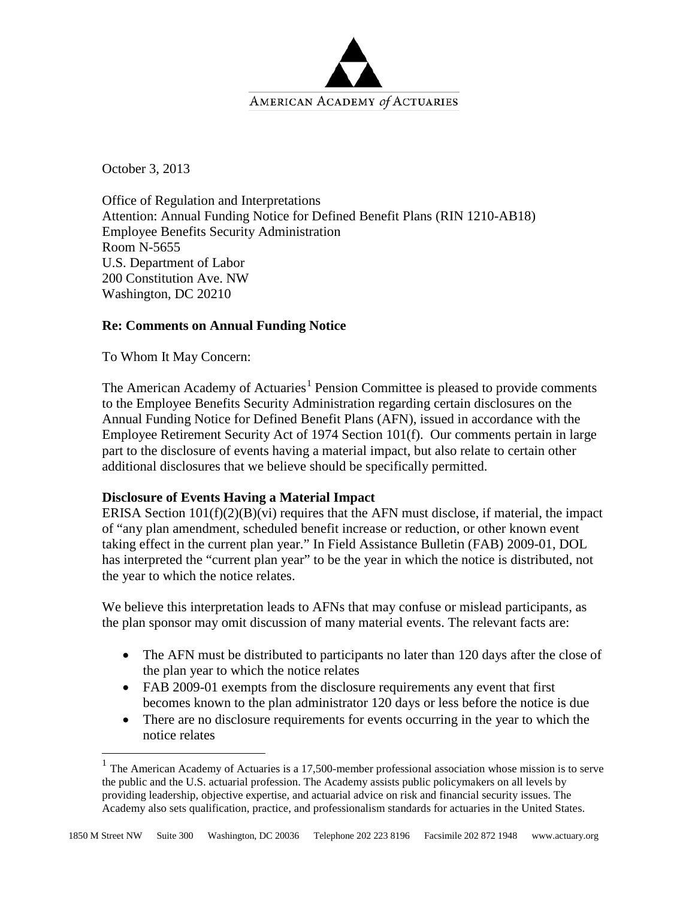

October 3, 2013

Office of Regulation and Interpretations Attention: Annual Funding Notice for Defined Benefit Plans (RIN 1210-AB18) Employee Benefits Security Administration Room N-5655 U.S. Department of Labor 200 Constitution Ave. NW Washington, DC 20210

## **Re: Comments on Annual Funding Notice**

To Whom It May Concern:

The American Academy of Actuaries<sup>[1](#page-0-0)</sup> Pension Committee is pleased to provide comments to the Employee Benefits Security Administration regarding certain disclosures on the Annual Funding Notice for Defined Benefit Plans (AFN), issued in accordance with the Employee Retirement Security Act of 1974 Section 101(f). Our comments pertain in large part to the disclosure of events having a material impact, but also relate to certain other additional disclosures that we believe should be specifically permitted.

## **Disclosure of Events Having a Material Impact**

ERISA Section  $101(f)(2)(B)(vi)$  requires that the AFN must disclose, if material, the impact of "any plan amendment, scheduled benefit increase or reduction, or other known event taking effect in the current plan year." In Field Assistance Bulletin (FAB) 2009-01, DOL has interpreted the "current plan year" to be the year in which the notice is distributed, not the year to which the notice relates.

We believe this interpretation leads to AFNs that may confuse or mislead participants, as the plan sponsor may omit discussion of many material events. The relevant facts are:

- The AFN must be distributed to participants no later than 120 days after the close of the plan year to which the notice relates
- FAB 2009-01 exempts from the disclosure requirements any event that first becomes known to the plan administrator 120 days or less before the notice is due
- There are no disclosure requirements for events occurring in the year to which the notice relates

<span id="page-0-0"></span><sup>&</sup>lt;sup>1</sup> The American Academy of Actuaries is a 17,500-member professional association whose mission is to serve the public and the U.S. actuarial profession. The Academy assists public policymakers on all levels by providing leadership, objective expertise, and actuarial advice on risk and financial security issues. The Academy also sets qualification, practice, and professionalism standards for actuaries in the United States.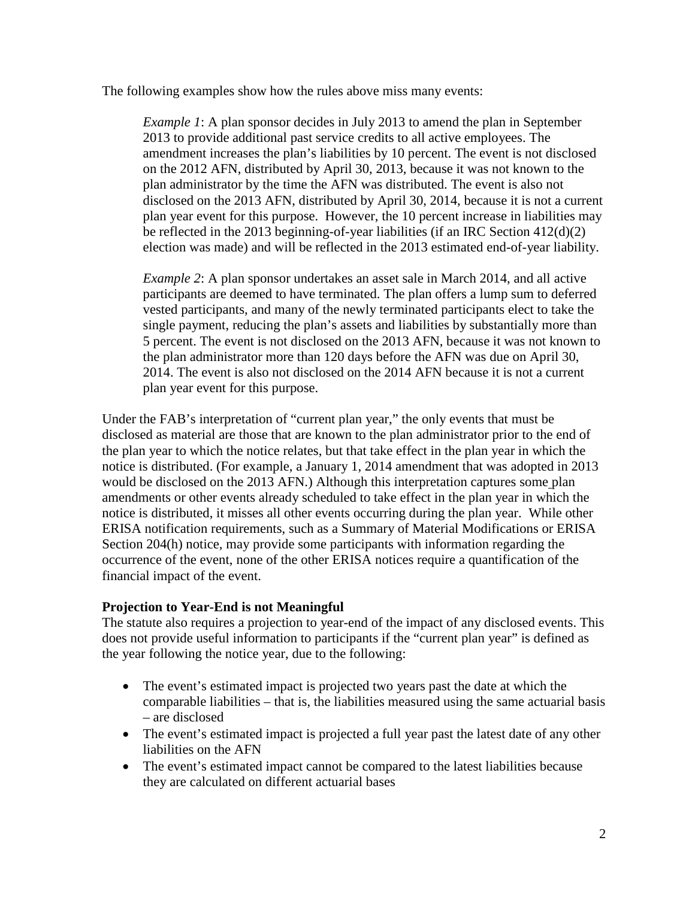The following examples show how the rules above miss many events:

*Example 1*: A plan sponsor decides in July 2013 to amend the plan in September 2013 to provide additional past service credits to all active employees. The amendment increases the plan's liabilities by 10 percent. The event is not disclosed on the 2012 AFN, distributed by April 30, 2013, because it was not known to the plan administrator by the time the AFN was distributed. The event is also not disclosed on the 2013 AFN, distributed by April 30, 2014, because it is not a current plan year event for this purpose. However, the 10 percent increase in liabilities may be reflected in the 2013 beginning-of-year liabilities (if an IRC Section 412(d)(2) election was made) and will be reflected in the 2013 estimated end-of-year liability.

*Example 2*: A plan sponsor undertakes an asset sale in March 2014, and all active participants are deemed to have terminated. The plan offers a lump sum to deferred vested participants, and many of the newly terminated participants elect to take the single payment, reducing the plan's assets and liabilities by substantially more than 5 percent. The event is not disclosed on the 2013 AFN, because it was not known to the plan administrator more than 120 days before the AFN was due on April 30, 2014. The event is also not disclosed on the 2014 AFN because it is not a current plan year event for this purpose.

Under the FAB's interpretation of "current plan year," the only events that must be disclosed as material are those that are known to the plan administrator prior to the end of the plan year to which the notice relates, but that take effect in the plan year in which the notice is distributed. (For example, a January 1, 2014 amendment that was adopted in 2013 would be disclosed on the 2013 AFN.) Although this interpretation captures some plan amendments or other events already scheduled to take effect in the plan year in which the notice is distributed, it misses all other events occurring during the plan year. While other ERISA notification requirements, such as a Summary of Material Modifications or ERISA Section 204(h) notice, may provide some participants with information regarding the occurrence of the event, none of the other ERISA notices require a quantification of the financial impact of the event.

## **Projection to Year-End is not Meaningful**

The statute also requires a projection to year-end of the impact of any disclosed events. This does not provide useful information to participants if the "current plan year" is defined as the year following the notice year, due to the following:

- The event's estimated impact is projected two years past the date at which the comparable liabilities – that is, the liabilities measured using the same actuarial basis – are disclosed
- The event's estimated impact is projected a full year past the latest date of any other liabilities on the AFN
- The event's estimated impact cannot be compared to the latest liabilities because they are calculated on different actuarial bases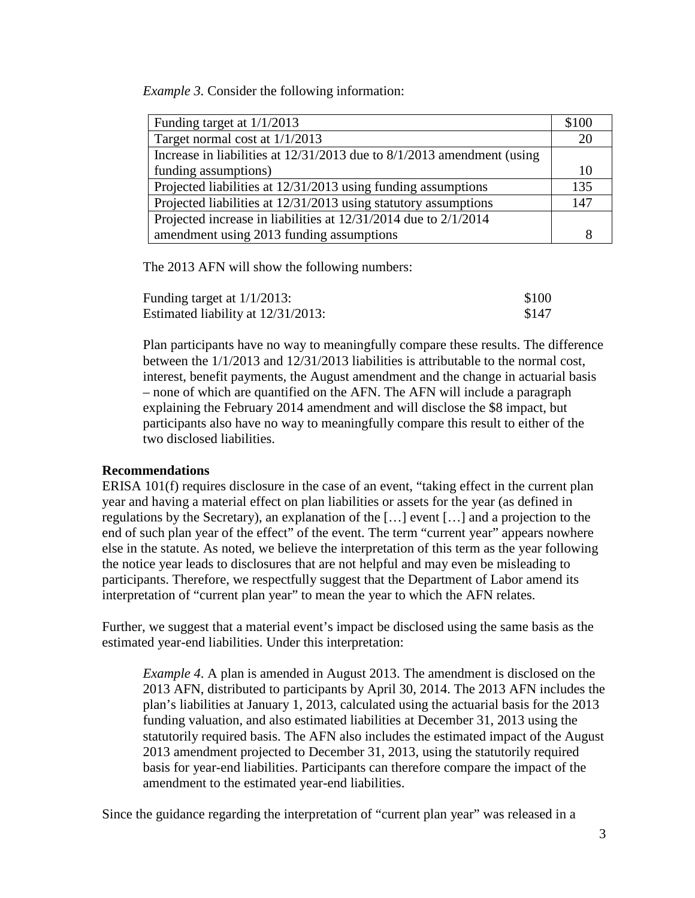*Example 3.* Consider the following information:

| Funding target at $1/1/2013$                                               | \$100 |
|----------------------------------------------------------------------------|-------|
| Target normal cost at 1/1/2013                                             | 20    |
| Increase in liabilities at $12/31/2013$ due to $8/1/2013$ amendment (using |       |
| funding assumptions)                                                       | 10    |
| Projected liabilities at 12/31/2013 using funding assumptions              | 135   |
| Projected liabilities at 12/31/2013 using statutory assumptions            | 147   |
| Projected increase in liabilities at 12/31/2014 due to 2/1/2014            |       |
| amendment using 2013 funding assumptions                                   |       |

The 2013 AFN will show the following numbers:

| Funding target at $1/1/2013$ :     | \$100 |
|------------------------------------|-------|
| Estimated liability at 12/31/2013: | \$147 |

Plan participants have no way to meaningfully compare these results. The difference between the 1/1/2013 and 12/31/2013 liabilities is attributable to the normal cost, interest, benefit payments, the August amendment and the change in actuarial basis – none of which are quantified on the AFN. The AFN will include a paragraph explaining the February 2014 amendment and will disclose the \$8 impact, but participants also have no way to meaningfully compare this result to either of the two disclosed liabilities.

## **Recommendations**

ERISA 101(f) requires disclosure in the case of an event, "taking effect in the current plan year and having a material effect on plan liabilities or assets for the year (as defined in regulations by the Secretary), an explanation of the […] event […] and a projection to the end of such plan year of the effect" of the event. The term "current year" appears nowhere else in the statute. As noted, we believe the interpretation of this term as the year following the notice year leads to disclosures that are not helpful and may even be misleading to participants. Therefore, we respectfully suggest that the Department of Labor amend its interpretation of "current plan year" to mean the year to which the AFN relates.

Further, we suggest that a material event's impact be disclosed using the same basis as the estimated year-end liabilities. Under this interpretation:

*Example 4*. A plan is amended in August 2013. The amendment is disclosed on the 2013 AFN, distributed to participants by April 30, 2014. The 2013 AFN includes the plan's liabilities at January 1, 2013, calculated using the actuarial basis for the 2013 funding valuation, and also estimated liabilities at December 31, 2013 using the statutorily required basis. The AFN also includes the estimated impact of the August 2013 amendment projected to December 31, 2013, using the statutorily required basis for year-end liabilities. Participants can therefore compare the impact of the amendment to the estimated year-end liabilities.

Since the guidance regarding the interpretation of "current plan year" was released in a